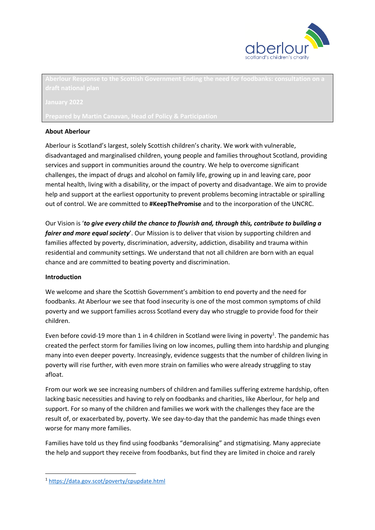

#### **About Aberlour**

Aberlour is Scotland's largest, solely Scottish children's charity. We work with vulnerable, disadvantaged and marginalised children, young people and families throughout Scotland, providing services and support in communities around the country. We help to overcome significant challenges, the impact of drugs and alcohol on family life, growing up in and leaving care, poor mental health, living with a disability, or the impact of poverty and disadvantage. We aim to provide help and support at the earliest opportunity to prevent problems becoming intractable or spiralling out of control. We are committed to **#KeepThePromise** and to the incorporation of the UNCRC.

Our Vision is '*to give every child the chance to flourish and, through this, contribute to building a fairer and more equal society*'. Our Mission is to deliver that vision by supporting children and families affected by poverty, discrimination, adversity, addiction, disability and trauma within residential and community settings. We understand that not all children are born with an equal chance and are committed to beating poverty and discrimination.

#### **Introduction**

**.** 

We welcome and share the Scottish Government's ambition to end poverty and the need for foodbanks. At Aberlour we see that food insecurity is one of the most common symptoms of child poverty and we support families across Scotland every day who struggle to provide food for their children.

Even before covid-19 more than 1 in 4 children in Scotland were living in poverty<sup>1</sup>. The pandemic has created the perfect storm for families living on low incomes, pulling them into hardship and plunging many into even deeper poverty. Increasingly, evidence suggests that the number of children living in poverty will rise further, with even more strain on families who were already struggling to stay afloat.

From our work we see increasing numbers of children and families suffering extreme hardship, often lacking basic necessities and having to rely on foodbanks and charities, like Aberlour, for help and support. For so many of the children and families we work with the challenges they face are the result of, or exacerbated by, poverty. We see day-to-day that the pandemic has made things even worse for many more families.

Families have told us they find using foodbanks "demoralising" and stigmatising. Many appreciate the help and support they receive from foodbanks, but find they are limited in choice and rarely

<sup>1</sup> <https://data.gov.scot/poverty/cpupdate.html>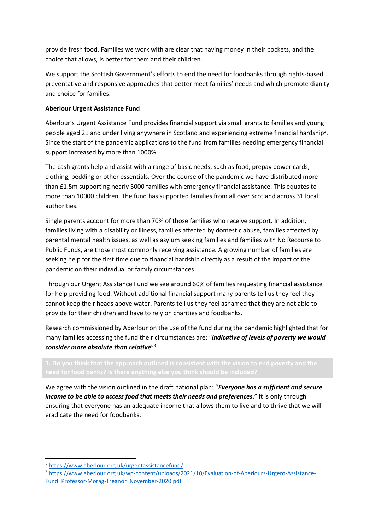provide fresh food. Families we work with are clear that having money in their pockets, and the choice that allows, is better for them and their children.

We support the Scottish Government's efforts to end the need for foodbanks through rights-based, preventative and responsive approaches that better meet families' needs and which promote dignity and choice for families.

# **Aberlour Urgent Assistance Fund**

Aberlour's Urgent Assistance Fund provides financial support via small grants to families and young people aged 21 and under living anywhere in Scotland and experiencing extreme financial hardship<sup>2</sup>. Since the start of the pandemic applications to the fund from families needing emergency financial support increased by more than 1000%.

The cash grants help and assist with a range of basic needs, such as food, prepay power cards, clothing, bedding or other essentials. Over the course of the pandemic we have distributed more than £1.5m supporting nearly 5000 families with emergency financial assistance. This equates to more than 10000 children. The fund has supported families from all over Scotland across 31 local authorities.

Single parents account for more than 70% of those families who receive support. In addition, families living with a disability or illness, families affected by domestic abuse, families affected by parental mental health issues, as well as asylum seeking families and families with No Recourse to Public Funds, are those most commonly receiving assistance. A growing number of families are seeking help for the first time due to financial hardship directly as a result of the impact of the pandemic on their individual or family circumstances.

Through our Urgent Assistance Fund we see around 60% of families requesting financial assistance for help providing food. Without additional financial support many parents tell us they feel they cannot keep their heads above water. Parents tell us they feel ashamed that they are not able to provide for their children and have to rely on charities and foodbanks.

Research commissioned by Aberlour on the use of the fund during the pandemic highlighted that for many families accessing the fund their circumstances are: "*indicative of levels of poverty we would consider more absolute than relative*" 3 .

We agree with the vision outlined in the draft national plan: "*Everyone has a sufficient and secure income to be able to access food that meets their needs and preferences*." It is only through ensuring that everyone has an adequate income that allows them to live and to thrive that we will eradicate the need for foodbanks.

**.** 

<sup>2</sup> <https://www.aberlour.org.uk/urgentassistancefund/>

<sup>3</sup> [https://www.aberlour.org.uk/wp-content/uploads/2021/10/Evaluation-of-Aberlours-Urgent-Assistance-](https://www.aberlour.org.uk/wp-content/uploads/2021/10/Evaluation-of-Aberlours-Urgent-Assistance-Fund_Professor-Morag-Treanor_November-2020.pdf)Fund Professor-Morag-Treanor November-2020.pdf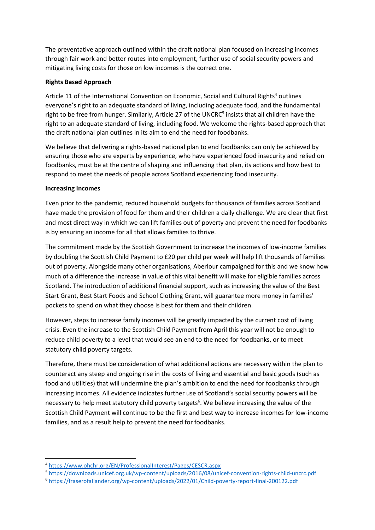The preventative approach outlined within the draft national plan focused on increasing incomes through fair work and better routes into employment, further use of social security powers and mitigating living costs for those on low incomes is the correct one.

### **Rights Based Approach**

Article 11 of the International Convention on Economic, Social and Cultural Rights<sup>4</sup> outlines everyone's right to an adequate standard of living, including adequate food, and the fundamental right to be free from hunger. Similarly, Article 27 of the UNCRC<sup>5</sup> insists that all children have the right to an adequate standard of living, including food. We welcome the rights-based approach that the draft national plan outlines in its aim to end the need for foodbanks.

We believe that delivering a rights-based national plan to end foodbanks can only be achieved by ensuring those who are experts by experience, who have experienced food insecurity and relied on foodbanks, must be at the centre of shaping and influencing that plan, its actions and how best to respond to meet the needs of people across Scotland experiencing food insecurity.

#### **Increasing Incomes**

**.** 

Even prior to the pandemic, reduced household budgets for thousands of families across Scotland have made the provision of food for them and their children a daily challenge. We are clear that first and most direct way in which we can lift families out of poverty and prevent the need for foodbanks is by ensuring an income for all that allows families to thrive.

The commitment made by the Scottish Government to increase the incomes of low-income families by doubling the Scottish Child Payment to £20 per child per week will help lift thousands of families out of poverty. Alongside many other organisations, Aberlour campaigned for this and we know how much of a difference the increase in value of this vital benefit will make for eligible families across Scotland. The introduction of additional financial support, such as increasing the value of the Best Start Grant, Best Start Foods and School Clothing Grant, will guarantee more money in families' pockets to spend on what they choose is best for them and their children.

However, steps to increase family incomes will be greatly impacted by the current cost of living crisis. Even the increase to the Scottish Child Payment from April this year will not be enough to reduce child poverty to a level that would see an end to the need for foodbanks, or to meet statutory child poverty targets.

Therefore, there must be consideration of what additional actions are necessary within the plan to counteract any steep and ongoing rise in the costs of living and essential and basic goods (such as food and utilities) that will undermine the plan's ambition to end the need for foodbanks through increasing incomes. All evidence indicates further use of Scotland's social security powers will be necessary to help meet statutory child poverty targets<sup>6</sup>. We believe increasing the value of the Scottish Child Payment will continue to be the first and best way to increase incomes for low-income families, and as a result help to prevent the need for foodbanks.

<sup>5</sup> <https://downloads.unicef.org.uk/wp-content/uploads/2016/08/unicef-convention-rights-child-uncrc.pdf>

<sup>4</sup> <https://www.ohchr.org/EN/ProfessionalInterest/Pages/CESCR.aspx>

<sup>6</sup> <https://fraserofallander.org/wp-content/uploads/2022/01/Child-poverty-report-final-200122.pdf>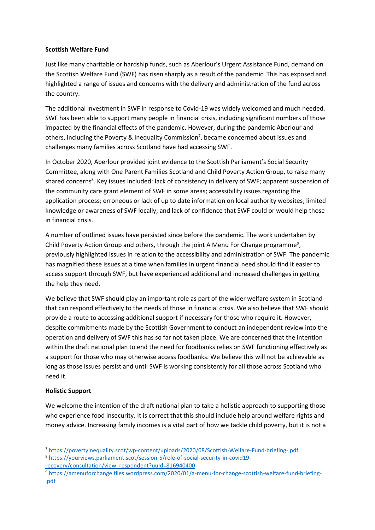### **Scottish Welfare Fund**

Just like many charitable or hardship funds, such as Aberlour's Urgent Assistance Fund, demand on the Scottish Welfare Fund (SWF) has risen sharply as a result of the pandemic. This has exposed and highlighted a range of issues and concerns with the delivery and administration of the fund across the country.

The additional investment in SWF in response to Covid-19 was widely welcomed and much needed. SWF has been able to support many people in financial crisis, including significant numbers of those impacted by the financial effects of the pandemic. However, during the pandemic Aberlour and others, including the Poverty & Inequality Commission<sup>7</sup>, became concerned about issues and challenges many families across Scotland have had accessing SWF.

In October 2020, Aberlour provided joint evidence to the Scottish Parliament's Social Security Committee, along with One Parent Families Scotland and Child Poverty Action Group, to raise many shared concerns<sup>8</sup>. Key issues included: lack of consistency in delivery of SWF; apparent suspension of the community care grant element of SWF in some areas; accessibility issues regarding the application process; erroneous or lack of up to date information on local authority websites; limited knowledge or awareness of SWF locally; and lack of confidence that SWF could or would help those in financial crisis.

A number of outlined issues have persisted since before the pandemic. The work undertaken by Child Poverty Action Group and others, through the joint A Menu For Change programme<sup>9</sup>, previously highlighted issues in relation to the accessibility and administration of SWF. The pandemic has magnified these issues at a time when families in urgent financial need should find it easier to access support through SWF, but have experienced additional and increased challenges in getting the help they need.

We believe that SWF should play an important role as part of the wider welfare system in Scotland that can respond effectively to the needs of those in financial crisis. We also believe that SWF should provide a route to accessing additional support if necessary for those who require it. However, despite commitments made by the Scottish Government to conduct an independent review into the operation and delivery of SWF this has so far not taken place. We are concerned that the intention within the draft national plan to end the need for foodbanks relies on SWF functioning effectively as a support for those who may otherwise access foodbanks. We believe this will not be achievable as long as those issues persist and until SWF is working consistently for all those across Scotland who need it.

# **Holistic Support**

**.** 

We welcome the intention of the draft national plan to take a holistic approach to supporting those who experience food insecurity. It is correct that this should include help around welfare rights and money advice. Increasing family incomes is a vital part of how we tackle child poverty, but it is not a

[recovery/consultation/view\\_respondent?uuId=816940400](https://yourviews.parliament.scot/session-5/role-of-social-security-in-covid19-recovery/consultation/view_respondent?uuId=816940400)

<sup>7</sup> <https://povertyinequality.scot/wp-content/uploads/2020/08/Scottish-Welfare-Fund-briefing-.pdf> <sup>8</sup> [https://yourviews.parliament.scot/session-5/role-of-social-security-in-covid19-](https://yourviews.parliament.scot/session-5/role-of-social-security-in-covid19-recovery/consultation/view_respondent?uuId=816940400)

<sup>9</sup> [https://amenuforchange.files.wordpress.com/2020/01/a-menu-for-change-scottish-welfare-fund-briefing-](https://amenuforchange.files.wordpress.com/2020/01/a-menu-for-change-scottish-welfare-fund-briefing-%20.pdf) [.pdf](https://amenuforchange.files.wordpress.com/2020/01/a-menu-for-change-scottish-welfare-fund-briefing-%20.pdf)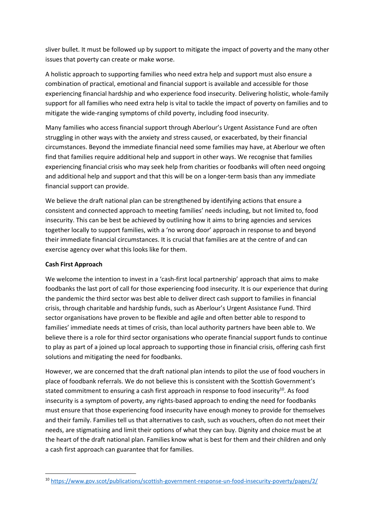sliver bullet. It must be followed up by support to mitigate the impact of poverty and the many other issues that poverty can create or make worse.

A holistic approach to supporting families who need extra help and support must also ensure a combination of practical, emotional and financial support is available and accessible for those experiencing financial hardship and who experience food insecurity. Delivering holistic, whole-family support for all families who need extra help is vital to tackle the impact of poverty on families and to mitigate the wide-ranging symptoms of child poverty, including food insecurity.

Many families who access financial support through Aberlour's Urgent Assistance Fund are often struggling in other ways with the anxiety and stress caused, or exacerbated, by their financial circumstances. Beyond the immediate financial need some families may have, at Aberlour we often find that families require additional help and support in other ways. We recognise that families experiencing financial crisis who may seek help from charities or foodbanks will often need ongoing and additional help and support and that this will be on a longer-term basis than any immediate financial support can provide.

We believe the draft national plan can be strengthened by identifying actions that ensure a consistent and connected approach to meeting families' needs including, but not limited to, food insecurity. This can be best be achieved by outlining how it aims to bring agencies and services together locally to support families, with a 'no wrong door' approach in response to and beyond their immediate financial circumstances. It is crucial that families are at the centre of and can exercise agency over what this looks like for them.

# **Cash First Approach**

**.** 

We welcome the intention to invest in a 'cash-first local partnership' approach that aims to make foodbanks the last port of call for those experiencing food insecurity. It is our experience that during the pandemic the third sector was best able to deliver direct cash support to families in financial crisis, through charitable and hardship funds, such as Aberlour's Urgent Assistance Fund. Third sector organisations have proven to be flexible and agile and often better able to respond to families' immediate needs at times of crisis, than local authority partners have been able to. We believe there is a role for third sector organisations who operate financial support funds to continue to play as part of a joined up local approach to supporting those in financial crisis, offering cash first solutions and mitigating the need for foodbanks.

However, we are concerned that the draft national plan intends to pilot the use of food vouchers in place of foodbank referrals. We do not believe this is consistent with the Scottish Government's stated commitment to ensuring a cash first approach in response to food insecurity<sup>10</sup>. As food insecurity is a symptom of poverty, any rights-based approach to ending the need for foodbanks must ensure that those experiencing food insecurity have enough money to provide for themselves and their family. Families tell us that alternatives to cash, such as vouchers, often do not meet their needs, are stigmatising and limit their options of what they can buy. Dignity and choice must be at the heart of the draft national plan. Families know what is best for them and their children and only a cash first approach can guarantee that for families.

<sup>10</sup> <https://www.gov.scot/publications/scottish-government-response-un-food-insecurity-poverty/pages/2/>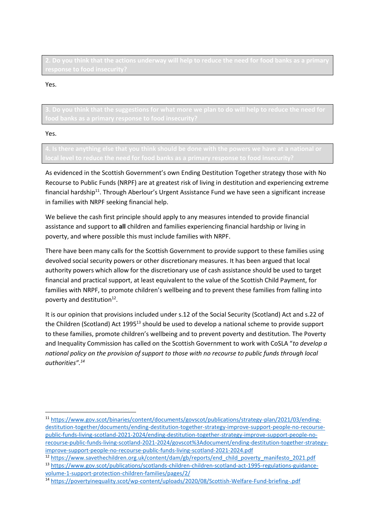Yes.

**3. Do you think that the suggestions for what more we plan to do will help to reduce the need for** 

Yes.

 $\overline{a}$ 

As evidenced in the Scottish Government's own Ending Destitution Together strategy those with No Recourse to Public Funds (NRPF) are at greatest risk of living in destitution and experiencing extreme financial hardship<sup>11</sup>. Through Aberlour's Urgent Assistance Fund we have seen a significant increase in families with NRPF seeking financial help.

We believe the cash first principle should apply to any measures intended to provide financial assistance and support to **all** children and families experiencing financial hardship or living in poverty, and where possible this must include families with NRPF.

There have been many calls for the Scottish Government to provide support to these families using devolved social security powers or other discretionary measures. It has been argued that local authority powers which allow for the discretionary use of cash assistance should be used to target financial and practical support, at least equivalent to the value of the Scottish Child Payment, for families with NRPF, to promote children's wellbeing and to prevent these families from falling into poverty and destitution<sup>12</sup>.

It is our opinion that provisions included under s.12 of the Social Security (Scotland) Act and s.22 of the Children (Scotland) Act 1995<sup>13</sup> should be used to develop a national scheme to provide support to these families, promote children's wellbeing and to prevent poverty and destitution. The Poverty and Inequality Commission has called on the Scottish Government to work with CoSLA "*to develop a national policy on the provision of support to those with no recourse to public funds through local authorities".<sup>14</sup>*

<sup>11</sup> [https://www.gov.scot/binaries/content/documents/govscot/publications/strategy-plan/2021/03/ending](https://www.gov.scot/binaries/content/documents/govscot/publications/strategy-plan/2021/03/ending-destitution-together/documents/ending-destitution-together-strategy-improve-support-people-no-recourse-public-funds-living-scotland-2021-2024/ending-destitution-together-strategy-improve-support-people-no-recourse-public-funds-living-scotland-2021-2024/govscot%3Adocument/ending-destitution-together-strategy-improve-support-people-no-recourse-public-funds-living-scotland-2021-2024.pdf)[destitution-together/documents/ending-destitution-together-strategy-improve-support-people-no-recourse](https://www.gov.scot/binaries/content/documents/govscot/publications/strategy-plan/2021/03/ending-destitution-together/documents/ending-destitution-together-strategy-improve-support-people-no-recourse-public-funds-living-scotland-2021-2024/ending-destitution-together-strategy-improve-support-people-no-recourse-public-funds-living-scotland-2021-2024/govscot%3Adocument/ending-destitution-together-strategy-improve-support-people-no-recourse-public-funds-living-scotland-2021-2024.pdf)[public-funds-living-scotland-2021-2024/ending-destitution-together-strategy-improve-support-people-no](https://www.gov.scot/binaries/content/documents/govscot/publications/strategy-plan/2021/03/ending-destitution-together/documents/ending-destitution-together-strategy-improve-support-people-no-recourse-public-funds-living-scotland-2021-2024/ending-destitution-together-strategy-improve-support-people-no-recourse-public-funds-living-scotland-2021-2024/govscot%3Adocument/ending-destitution-together-strategy-improve-support-people-no-recourse-public-funds-living-scotland-2021-2024.pdf)[recourse-public-funds-living-scotland-2021-2024/govscot%3Adocument/ending-destitution-together-strategy](https://www.gov.scot/binaries/content/documents/govscot/publications/strategy-plan/2021/03/ending-destitution-together/documents/ending-destitution-together-strategy-improve-support-people-no-recourse-public-funds-living-scotland-2021-2024/ending-destitution-together-strategy-improve-support-people-no-recourse-public-funds-living-scotland-2021-2024/govscot%3Adocument/ending-destitution-together-strategy-improve-support-people-no-recourse-public-funds-living-scotland-2021-2024.pdf)[improve-support-people-no-recourse-public-funds-living-scotland-2021-2024.pdf](https://www.gov.scot/binaries/content/documents/govscot/publications/strategy-plan/2021/03/ending-destitution-together/documents/ending-destitution-together-strategy-improve-support-people-no-recourse-public-funds-living-scotland-2021-2024/ending-destitution-together-strategy-improve-support-people-no-recourse-public-funds-living-scotland-2021-2024/govscot%3Adocument/ending-destitution-together-strategy-improve-support-people-no-recourse-public-funds-living-scotland-2021-2024.pdf)

<sup>12</sup> [https://www.savethechildren.org.uk/content/dam/gb/reports/end\\_child\\_poverty\\_manifesto\\_2021.pdf](https://www.savethechildren.org.uk/content/dam/gb/reports/end_child_poverty_manifesto_2021.pdf) <sup>13</sup> [https://www.gov.scot/publications/scotlands-children-children-scotland-act-1995-regulations-guidance](https://www.gov.scot/publications/scotlands-children-children-scotland-act-1995-regulations-guidance-volume-1-support-protection-children-families/pages/2/)[volume-1-support-protection-children-families/pages/2/](https://www.gov.scot/publications/scotlands-children-children-scotland-act-1995-regulations-guidance-volume-1-support-protection-children-families/pages/2/)

<sup>14</sup> <https://povertyinequality.scot/wp-content/uploads/2020/08/Scottish-Welfare-Fund-briefing-.pdf>